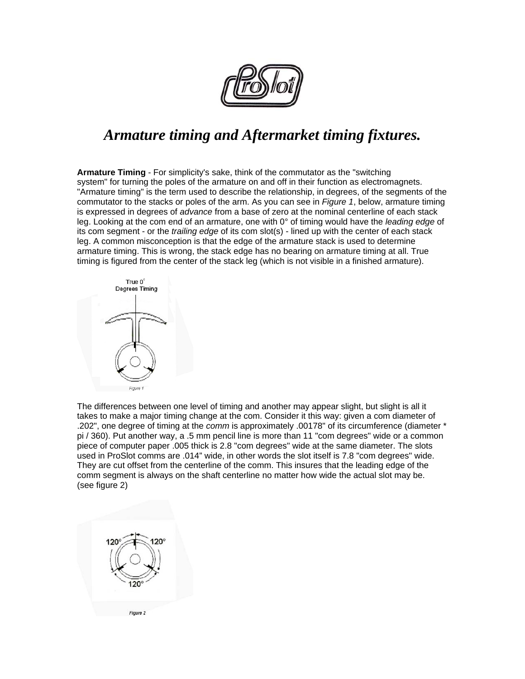

## *Armature timing and Aftermarket timing fixtures.*

**Armature Timing** - For simplicity's sake, think of the commutator as the "switching system" for turning the poles of the armature on and off in their function as electromagnets. "Armature timing" is the term used to describe the relationship, in degrees, of the segments of the commutator to the stacks or poles of the arm. As you can see in *Figure 1*, below, armature timing is expressed in degrees of *advance* from a base of zero at the nominal centerline of each stack leg. Looking at the com end of an armature, one with 0° of timing would have the *leading edge* of its com segment - or the *trailing edge* of its com slot(s) - lined up with the center of each stack leg. A common misconception is that the edge of the armature stack is used to determine armature timing. This is wrong, the stack edge has no bearing on armature timing at all. True timing is figured from the center of the stack leg (which is not visible in a finished armature).



The differences between one level of timing and another may appear slight, but slight is all it takes to make a major timing change at the com. Consider it this way: given a com diameter of .202", one degree of timing at the *comm* is approximately .00178" of its circumference (diameter \* pi / 360). Put another way, a .5 mm pencil line is more than 11 "com degrees" wide or a common piece of computer paper .005 thick is 2.8 "com degrees" wide at the same diameter. The slots used in ProSlot comms are .014" wide, in other words the slot itself is 7.8 "com degrees" wide. They are cut offset from the centerline of the comm. This insures that the leading edge of the comm segment is always on the shaft centerline no matter how wide the actual slot may be. (see figure 2)